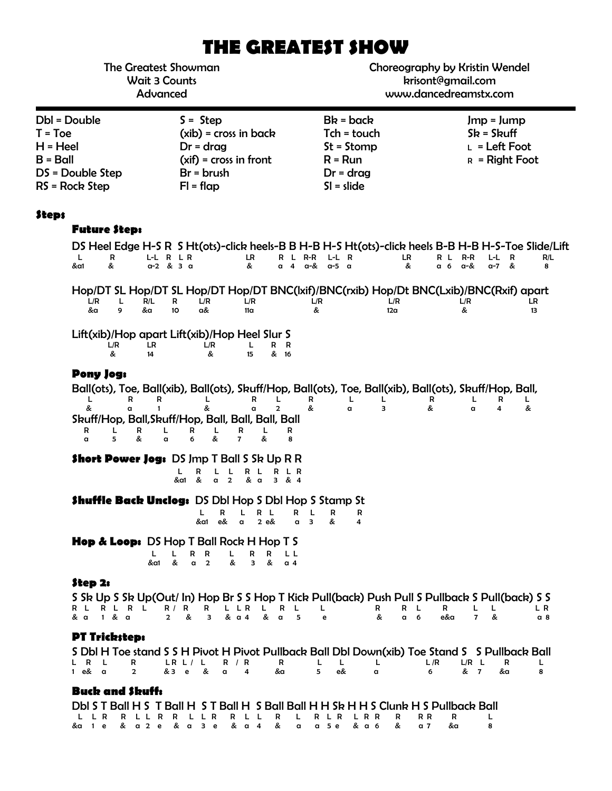# **THE GREATEST SHOW**

The Greatest Showman Wait 3 Counts Advanced

Choreography by Kristin Wendel krisont@gmail.com www.dancedreamstx.com

| Dbl = Double     | $S =$ Step               | $Bk = back$   | $Jmp = Jump$           |
|------------------|--------------------------|---------------|------------------------|
| $T = Toe$        | $(xib)$ = cross in back  | $Tch = touch$ | $Sk = Skuff$           |
| $H = Heel$       | $Dr = drag$              | $St = Stomp$  | $L = \text{Left}$ Foot |
| $B =$ Ball       | $(xif) = cross in front$ | $R = Run$     | $R =$ Right Foot       |
| DS = Double Step | $Br = brush$             | $Dr = drag$   |                        |
| RS = Rock Step   | $FI = flap$              | $SI = slide$  |                        |

### **Steps**

# **Future Step:**

|                    |                               |                  |                            |                                      |                                                                                     |                                    |                                               |             | Hop/DT SL Hop/DT SL Hop/DT Hop/DT BNC(lxif)/BNC(rxib) Hop/Dt BNC(Lxib)/BNC(Rxif) apart                            |                  |          |                     |                                                                                               |           |
|--------------------|-------------------------------|------------------|----------------------------|--------------------------------------|-------------------------------------------------------------------------------------|------------------------------------|-----------------------------------------------|-------------|-------------------------------------------------------------------------------------------------------------------|------------------|----------|---------------------|-----------------------------------------------------------------------------------------------|-----------|
| L/R<br>&a          | L.<br>9                       | R/L<br>&a        | R<br>10                    | L/R<br>a&                            | L/R<br>11 <sub>a</sub>                                                              |                                    | L/R<br>&                                      |             | L/R<br>12a                                                                                                        |                  |          | L/R<br>&            |                                                                                               | LR.<br>13 |
|                    | L/R<br>&                      | LR<br>14         |                            | L/R<br>&                             | Lift(xib)/Hop apart Lift(xib)/Hop Heel Slur S<br>L<br>15                            | R R<br>& 16                        |                                               |             |                                                                                                                   |                  |          |                     |                                                                                               |           |
| &<br>R<br>$\alpha$ | Pony Jog:<br>R<br>a<br>L<br>5 | R<br>1<br>R<br>& | L<br>$\alpha$              | &<br>R<br>L<br>6<br>&                | R<br>a<br>Skuff/Hop, Ball, Skuff/Hop, Ball, Ball, Ball, Ball<br>R<br>$\overline{7}$ | $\overline{2}$<br>L<br>R<br>&<br>8 | R<br>&                                        | L<br>α      | Ball(ots), Toe, Ball(xib), Ball(ots), Skuff/Hop, Ball(ots), Toe, Ball(xib), Ball(ots), Skuff/Hop, Ball,<br>L<br>з |                  | R<br>&   | L<br>a              | R<br>4                                                                                        | L.<br>&   |
|                    |                               |                  | L<br>&a1                   | R<br>L<br>&<br>a <sub>2</sub>        | <b>Short Power Jog: DS Jmp T Ball S Sk Up R R</b><br>L<br>R L<br>& a                | R L R<br>3 & 8 & 4                 |                                               |             |                                                                                                                   |                  |          |                     |                                                                                               |           |
|                    |                               |                  |                            | R<br>L<br>&a1<br>e&                  | <b>Shuffle Back Unclog: DS Dbl Hop S Dbl Hop S Stamp St</b><br>L<br>a               | R L<br>2 e&                        | R<br>L<br>$\overline{\mathbf{3}}$<br>$\alpha$ | R<br>&<br>4 | R                                                                                                                 |                  |          |                     |                                                                                               |           |
|                    |                               | L<br>&a1         | L<br>&                     | R<br>R<br>$\overline{2}$<br>$\alpha$ | <b>Hop &amp; Loop:</b> DS Hop T Ball Rock H Hop T S<br>L<br>R<br>&<br>3             | R<br>L L<br>&<br>$\alpha$ 4        |                                               |             |                                                                                                                   |                  |          |                     |                                                                                               |           |
| Step 2:<br>& a     | R L R L R L<br>1 & α          |                  | R /<br>R<br>$\overline{2}$ | R<br>&<br>3                          | L L R<br>& a 4                                                                      | L.<br>R<br>& a                     | L<br>L<br>5<br>e                              |             | S Sk Up S Sk Up(Out/ In) Hop Br S S Hop T Kick Pull(back) Push Pull S Pullback S Pull(back) S S<br>R<br>&         | R<br>L<br>a<br>6 | R<br>e&a | L<br>$\overline{7}$ | L<br>&                                                                                        | L R       |
|                    | <b>PT Tricksteps</b>          |                  |                            |                                      |                                                                                     |                                    |                                               |             |                                                                                                                   |                  |          |                     | S DbI H Toe stand S S H Pivot H Pivot Pullback Ball DbI Down(xib) Toe Stand S S Pullback Ball |           |

&a 1 e & a 2 e & a 3 e & a 4 & a a 5 e & a 6 & a 7 &a 8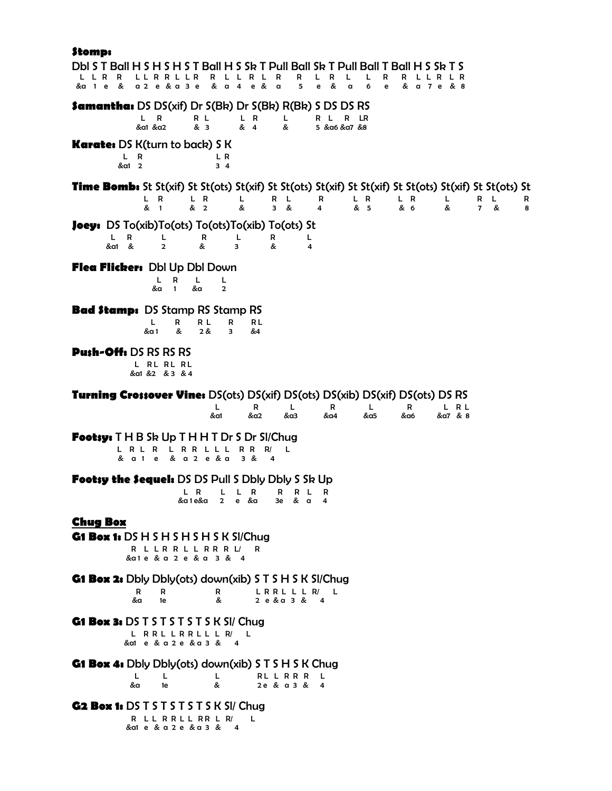# **Stomp:**

| H S H S T Ball H S Sk T Pull Ball Sk T Pull Ball T<br>DbIS I Ball H S<br>Ball H S SR I S<br>R<br>R<br>R<br>R<br>R<br>R<br>L<br>R<br>R<br>L R<br>a 2 e & a 3 e<br>& a<br>4<br>e &<br>5<br>e<br>&<br>6<br>&a 1 e<br>- &<br>$\alpha$<br>a<br>e<br>& a 7 e & 8 |        |
|------------------------------------------------------------------------------------------------------------------------------------------------------------------------------------------------------------------------------------------------------------|--------|
| <b>Samantha:</b> DS DS(xif) Dr $S(Bk)$ Dr $S(Bk)$ R(Bk) S DS DS RS<br>R<br>R L<br>L R<br>L<br>L<br>R L<br>R<br>LR<br>& 4<br>& 3<br>&a1 &a2<br>&<br>5 & a6 & a7 & 8                                                                                         |        |
| <b>Karate:</b> DS K(turn to back) S K<br>L R<br>L R<br>&a1 2<br>34                                                                                                                                                                                         |        |
| Time Bomb: St St(xif) St St(ots) St(xif) St St(ots) St(xif) St St(xif) St St(ots) St(xif) St St(ots) St<br>L R<br>L R<br>Г<br>R<br>L R<br>L R<br>R<br>L.<br>L<br>L<br>R<br>&<br>&<br>& 1<br>& 2<br>& 5<br>& 6<br>&<br>3<br>4<br>&<br>$\overline{7}$        | R<br>8 |
| <b>Joey:</b> DS To(xib)To(ots) To(ots)To(xib) To(ots) St<br>Г<br>L.<br>R<br>R<br>L<br>R<br>L<br>&a1 &<br>$\overline{2}$<br>&<br>&<br>3<br>4                                                                                                                |        |
| Flea Flicker: Dbl Up Dbl Down<br>R<br>L<br>L<br>L<br>$\mathbf{1}$<br>&a<br>&a<br>$\overline{2}$                                                                                                                                                            |        |
| <b>Bad Stamp:</b> DS Stamp RS Stamp RS<br>R L<br>L<br>R<br>R<br>RL<br>2 &<br>&a 1<br>&<br>&4<br>3                                                                                                                                                          |        |
| <b>Push-Offs DS RS RS RS</b><br>L RL RL RL<br>&a1 &2 &3 &4                                                                                                                                                                                                 |        |
| <b>Turning Crossover Vines</b> DS(ots) DS(xif) DS(ots) DS(xib) DS(xif) DS(ots) DS RS<br>L<br>L<br>R<br>L R L<br>R<br>L<br>R<br>&a1<br>&a2<br>&a3<br>&a4<br>&α5<br>&a6<br>&a7 & 8                                                                           |        |
| <b>Footsy:</b> $T$ H B Sk Up $T$ H H $T$ Dr S Dr SI/Chug<br>L R R L L L<br>R R<br>L R L R<br>R/<br>L<br>& a 2 e & a<br>3 &<br>& a 1 e<br>4                                                                                                                 |        |
| <b>Footsy the Sequels</b> DS DS Pull S Dbly Dbly S Sk Up<br>L R<br>R<br>R L<br>R<br>L<br>L<br>R.<br>&a 1 e&a<br>$2^{\circ}$<br>e &a<br>3e & a<br>4                                                                                                         |        |
| <b>Chug Box</b><br>G1 Box 1: $DS H S H S H S H S K SI/Chug$<br>R L L R R L L R R R L/<br>R<br>& a 1 e & a 2 e & a 3 & 4                                                                                                                                    |        |
| <b>G1 Box 2:</b> Dbly Dbly(ots) down(xib) S T S H S K SI/Chug<br>LRRLLLR/L<br>R<br>R<br>R<br>&<br>&a<br>2 e & a 3 & 4<br>1e                                                                                                                                |        |
| G1 Box 3: DS T S T S T S T S K SI/ Chug<br>L RRL LRRLL L R/<br>L<br>& a1 e & a 2 e & a 3 & 4                                                                                                                                                               |        |
| <b>G1 Box 4:</b> Dbly Dbly(ots) down(xib) S T S H S K Chug<br>RL L R R R L<br>L.<br>L<br>L<br>&<br>&a<br>2e & a 3 & 4<br>1e                                                                                                                                |        |
| G2 Box 1: DS T S T S T S T S K SI/ Chug<br>R LL RRLL RR L R/<br>L<br>& ale & a 2 e & a 3 & 4                                                                                                                                                               |        |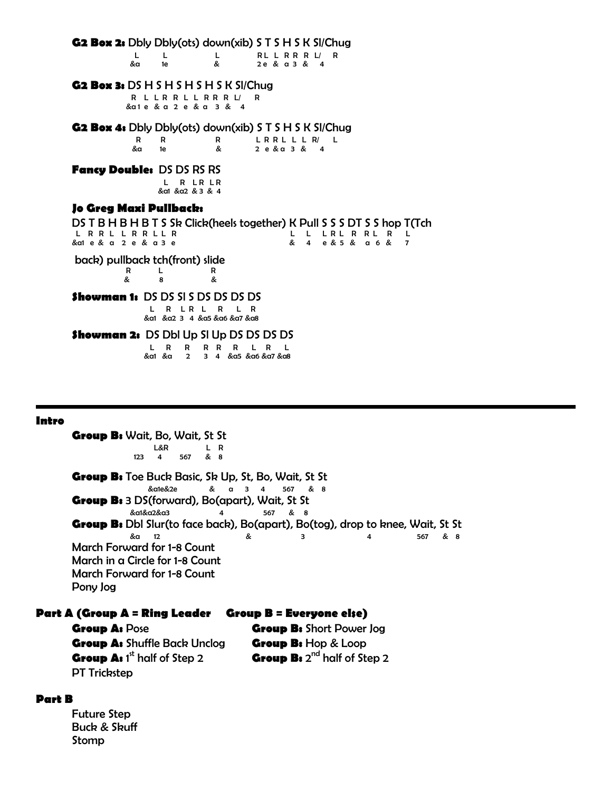**G2 Box 2:** Dbly Dbly(ots) down(xib) S T S H S K Sl/Chug

|       | $\mathbf{I}$ and $\mathbf{I}$ and $\mathbf{I}$ | L RLLRRRL/R |  |              |  |  |
|-------|------------------------------------------------|-------------|--|--------------|--|--|
| &a 1e |                                                | &           |  | 2e & a 3 & 4 |  |  |

#### **G2 Box 3:** DS H S H S H S H S K Sl/Chug

R L L R R L L R R R L/ R &a 1 e & a 2 e & a 3 & 4

**G2 Box 4:** Dbly Dbly(ots) down(xib) S T S H S K Sl/Chug

R R R LRRLLLR/L<br>&a 1e & 2e&a3&4 2 e & a 3 & 4

#### **Fancy Double:** DS DS RS RS

L R LR LR &a1 &a2 & 3 & 4

#### **Jo Greg Maxi Pullback:**

DS T B H B H B T S Sk Click(heels together) K Pull S S S DT S S hop T(Tch L R R L L R R L L L R L L L R L L L R L R L L R L L L R L R L L L R L L L R L L L L R L L L L L L R L L L L L &a1 e & a 2 e & a 3 e & 4 e & 5 & a 6 & 7

back) pullback tch(front) slide

 R L R & 8 &

## **Showman 1:** DS DS SI S DS DS DS DS

L R L R L R L R &a1 &a2 3 4 &a5 &a6 &a7 &a8

#### **Showman 2:** DS Dbl Up SI Up DS DS DS DS L R R R R R L R L

&a1 &a 2 3 4 &a5 &a6 &a7 &a8

#### **Intro**

**Group B:** Wait, Bo, Wait, St St L&R L R 123 4 567 & 8 **Group B:** Toe Buck Basic, Sk Up, St, Bo, Wait, St St &a1e&2e & a 3 4 567 & 8 **Group B:** 3 DS(forward), Bo(apart), Wait, St St &a1&a2&a3 4 567 & 8 **Group B:** Dbl Slur(to face back), Bo(apart), Bo(tog), drop to knee, Wait, St St & s &a 12 & 3 4 567 & 8 March Forward for 1-8 Count March in a Circle for 1-8 Count March Forward for 1-8 Count Pony Jog

#### **Part A (Group A = Ring Leader Group B = Everyone else)**

**Group A:** Pose **Group B:** Short Power Jog **Group A:** Shuffle Back Unclog **Group B:** Hop & Loop **Group A:** 1<sup>st</sup> half of Step 2 **Group B:** 2 Group B: 2<sup>nd</sup> half of Step 2 PT Trickstep

#### **Part B**

Future Step Buck & Skuff Stomp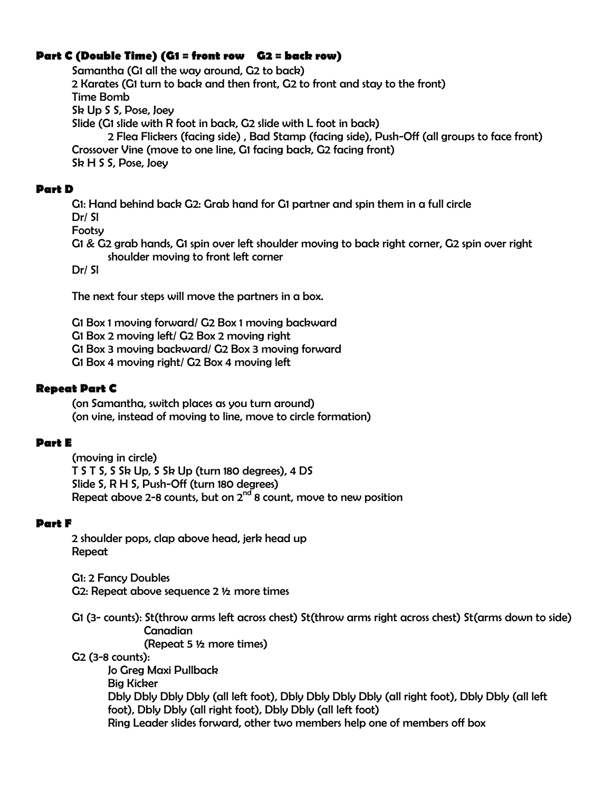# **Part C (Double Time) (G1 = front row G2 = back row)**

Samantha (G1 all the way around, G2 to back) 2 Karates (G1 turn to back and then front, G2 to front and stay to the front) Time Bomb Sk Up S S, Pose, Joey Slide (G1 slide with R foot in back, G2 slide with L foot in back) 2 Flea Flickers (facing side) , Bad Stamp (facing side), Push-Off (all groups to face front) Crossover Vine (move to one line, G1 facing back, G2 facing front) Sk H S S, Pose, Joey

# **Part D**

G1: Hand behind back G2: Grab hand for G1 partner and spin them in a full circle Dr/ Sl

Footsy

G1 & G2 grab hands, G1 spin over left shoulder moving to back right corner, G2 spin over right shoulder moving to front left corner

Dr/ Sl

The next four steps will move the partners in a box.

G1 Box 1 moving forward/ G2 Box 1 moving backward

G1 Box 2 moving left/ G2 Box 2 moving right

G1 Box 3 moving backward/ G2 Box 3 moving forward

G1 Box 4 moving right/ G2 Box 4 moving left

# **Repeat Part C**

(on Samantha, switch places as you turn around) (on vine, instead of moving to line, move to circle formation)

# **Part E**

(moving in circle) T S T S, S Sk Up, S Sk Up (turn 180 degrees), 4 DS Slide S, R H S, Push-Off (turn 180 degrees) Repeat above 2-8 counts, but on  $2^{nd}$  8 count, move to new position

# **Part F**

2 shoulder pops, clap above head, jerk head up Repeat

G1: 2 Fancy Doubles G2: Repeat above sequence 2 ½ more times

G1 (3- counts): St(throw arms left across chest) St(throw arms right across chest) St(arms down to side) Canadian

(Repeat 5 ½ more times)

G2 (3-8 counts):

Jo Greg Maxi Pullback Big Kicker Dbly Dbly Dbly Dbly (all left foot), Dbly Dbly Dbly Dbly (all right foot), Dbly Dbly (all left foot), Dbly Dbly (all right foot), Dbly Dbly (all left foot) Ring Leader slides forward, other two members help one of members off box